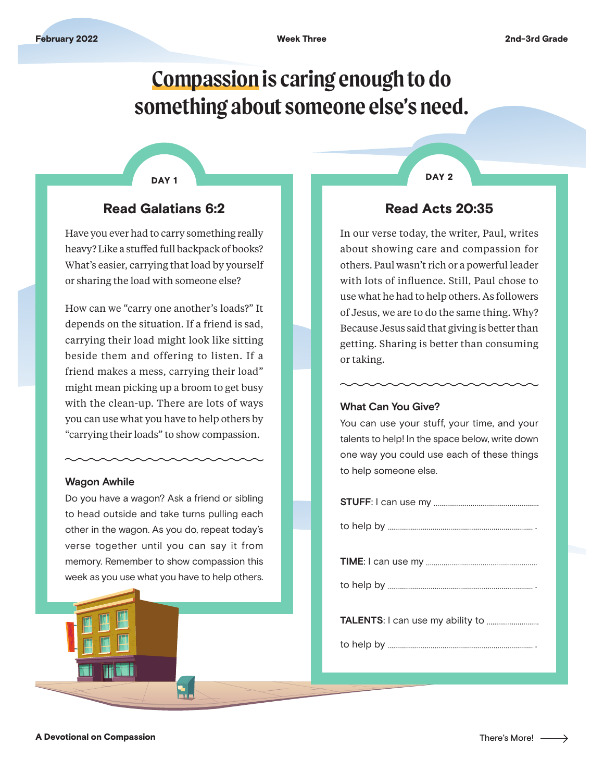# **Compassion is caring enough to do something about someone else's need.**

#### DAY 1

## Read Galatians 6:2

Have you ever had to carry something really heavy? Like a stuffed full backpack of books? What's easier, carrying that load by yourself or sharing the load with someone else?

How can we "carry one another's loads?" It depends on the situation. If a friend is sad, carrying their load might look like sitting beside them and offering to listen. If a friend makes a mess, carrying their load" might mean picking up a broom to get busy with the clean-up. There are lots of ways you can use what you have to help others by "carrying their loads" to show compassion.

#### **Wagon Awhile**

Do you have a wagon? Ask a friend or sibling to head outside and take turns pulling each other in the wagon. As you do, repeat today's verse together until you can say it from memory. Remember to show compassion this week as you use what you have to help others. DAY<sub>2</sub>

## Read Acts 20:35

In our verse today, the writer, Paul, writes about showing care and compassion for others. Paul wasn't rich or a powerful leader with lots of influence. Still, Paul chose to use what he had to help others. As followers of Jesus, we are to do the same thing. Why? Because Jesus said that giving is better than getting. Sharing is better than consuming or taking.

#### **What Can You Give?**

You can use your stuff, your time, and your talents to help! In the space below, write down one way you could use each of these things to help someone else.

 $\rightarrow$